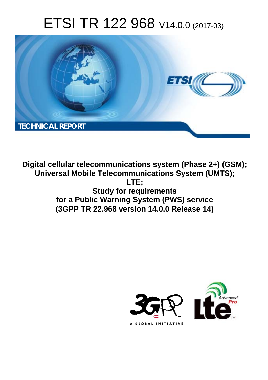# ETSI TR 122 968 V14.0.0 (2017-03)



**Digital cellular telecommunications system (Phase 2+) (GSM); Universal Mobile Telecommunications System (UMTS); LTE; Study for requirements for a Public Warning System (PWS) service (3GPP TR 22.968 version 14.0.0 Release 14)** 

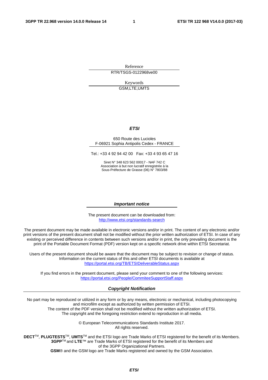Reference RTR/TSGS-0122968ve00

> Keywords GSM,LTE,UMTS

#### *ETSI*

#### 650 Route des Lucioles F-06921 Sophia Antipolis Cedex - FRANCE

Tel.: +33 4 92 94 42 00 Fax: +33 4 93 65 47 16

Siret N° 348 623 562 00017 - NAF 742 C Association à but non lucratif enregistrée à la Sous-Préfecture de Grasse (06) N° 7803/88

#### *Important notice*

The present document can be downloaded from: <http://www.etsi.org/standards-search>

The present document may be made available in electronic versions and/or in print. The content of any electronic and/or print versions of the present document shall not be modified without the prior written authorization of ETSI. In case of any existing or perceived difference in contents between such versions and/or in print, the only prevailing document is the print of the Portable Document Format (PDF) version kept on a specific network drive within ETSI Secretariat.

Users of the present document should be aware that the document may be subject to revision or change of status. Information on the current status of this and other ETSI documents is available at <https://portal.etsi.org/TB/ETSIDeliverableStatus.aspx>

If you find errors in the present document, please send your comment to one of the following services: <https://portal.etsi.org/People/CommiteeSupportStaff.aspx>

#### *Copyright Notification*

No part may be reproduced or utilized in any form or by any means, electronic or mechanical, including photocopying and microfilm except as authorized by written permission of ETSI.

The content of the PDF version shall not be modified without the written authorization of ETSI. The copyright and the foregoing restriction extend to reproduction in all media.

> © European Telecommunications Standards Institute 2017. All rights reserved.

**DECT**TM, **PLUGTESTS**TM, **UMTS**TM and the ETSI logo are Trade Marks of ETSI registered for the benefit of its Members. **3GPP**TM and **LTE**™ are Trade Marks of ETSI registered for the benefit of its Members and of the 3GPP Organizational Partners.

**GSM**® and the GSM logo are Trade Marks registered and owned by the GSM Association.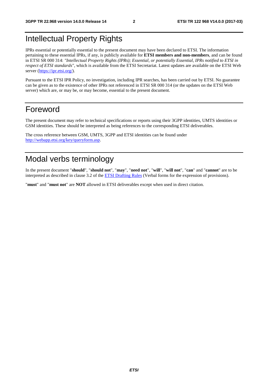## Intellectual Property Rights

IPRs essential or potentially essential to the present document may have been declared to ETSI. The information pertaining to these essential IPRs, if any, is publicly available for **ETSI members and non-members**, and can be found in ETSI SR 000 314: *"Intellectual Property Rights (IPRs); Essential, or potentially Essential, IPRs notified to ETSI in respect of ETSI standards"*, which is available from the ETSI Secretariat. Latest updates are available on the ETSI Web server ([https://ipr.etsi.org/\)](https://ipr.etsi.org/).

Pursuant to the ETSI IPR Policy, no investigation, including IPR searches, has been carried out by ETSI. No guarantee can be given as to the existence of other IPRs not referenced in ETSI SR 000 314 (or the updates on the ETSI Web server) which are, or may be, or may become, essential to the present document.

### Foreword

The present document may refer to technical specifications or reports using their 3GPP identities, UMTS identities or GSM identities. These should be interpreted as being references to the corresponding ETSI deliverables.

The cross reference between GSM, UMTS, 3GPP and ETSI identities can be found under [http://webapp.etsi.org/key/queryform.asp.](http://webapp.etsi.org/key/queryform.asp)

## Modal verbs terminology

In the present document "**should**", "**should not**", "**may**", "**need not**", "**will**", "**will not**", "**can**" and "**cannot**" are to be interpreted as described in clause 3.2 of the [ETSI Drafting Rules](https://portal.etsi.org/Services/editHelp!/Howtostart/ETSIDraftingRules.aspx) (Verbal forms for the expression of provisions).

"**must**" and "**must not**" are **NOT** allowed in ETSI deliverables except when used in direct citation.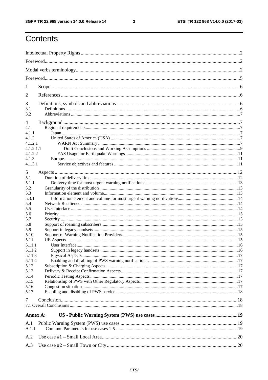$\mathbf{3}$ 

## Contents

| 1              |  |  |  |  |  |  |  |  |
|----------------|--|--|--|--|--|--|--|--|
| $\overline{2}$ |  |  |  |  |  |  |  |  |
|                |  |  |  |  |  |  |  |  |
| 3              |  |  |  |  |  |  |  |  |
| 3.1<br>3.2     |  |  |  |  |  |  |  |  |
|                |  |  |  |  |  |  |  |  |
| 4              |  |  |  |  |  |  |  |  |
| 4.1<br>4.1.1   |  |  |  |  |  |  |  |  |
| 4.1.2          |  |  |  |  |  |  |  |  |
| 4.1.2.1        |  |  |  |  |  |  |  |  |
| 4.1.2.1.1      |  |  |  |  |  |  |  |  |
| 4.1.2.2        |  |  |  |  |  |  |  |  |
| 4.1.3          |  |  |  |  |  |  |  |  |
| 4.1.3.1        |  |  |  |  |  |  |  |  |
|                |  |  |  |  |  |  |  |  |
| 5              |  |  |  |  |  |  |  |  |
| 5.1            |  |  |  |  |  |  |  |  |
| 5.1.1          |  |  |  |  |  |  |  |  |
| 5.2            |  |  |  |  |  |  |  |  |
| 5.3            |  |  |  |  |  |  |  |  |
| 5.3.1          |  |  |  |  |  |  |  |  |
| 5.4            |  |  |  |  |  |  |  |  |
| 5.5<br>5.6     |  |  |  |  |  |  |  |  |
| 5.7            |  |  |  |  |  |  |  |  |
| 5.8            |  |  |  |  |  |  |  |  |
| 5.9            |  |  |  |  |  |  |  |  |
| 5.10           |  |  |  |  |  |  |  |  |
| 5.11           |  |  |  |  |  |  |  |  |
| 5.11.1         |  |  |  |  |  |  |  |  |
| 5.11.2         |  |  |  |  |  |  |  |  |
| 5.11.3         |  |  |  |  |  |  |  |  |
| 5.11.4         |  |  |  |  |  |  |  |  |
| 5.12           |  |  |  |  |  |  |  |  |
| 5.13           |  |  |  |  |  |  |  |  |
| 5.14           |  |  |  |  |  |  |  |  |
| 5.15           |  |  |  |  |  |  |  |  |
| 5.16           |  |  |  |  |  |  |  |  |
| 5.17           |  |  |  |  |  |  |  |  |
|                |  |  |  |  |  |  |  |  |
| 7              |  |  |  |  |  |  |  |  |
|                |  |  |  |  |  |  |  |  |
| Annex A:       |  |  |  |  |  |  |  |  |
| A.1            |  |  |  |  |  |  |  |  |
| A.1.1          |  |  |  |  |  |  |  |  |
|                |  |  |  |  |  |  |  |  |
| A.2            |  |  |  |  |  |  |  |  |
| A.3            |  |  |  |  |  |  |  |  |
|                |  |  |  |  |  |  |  |  |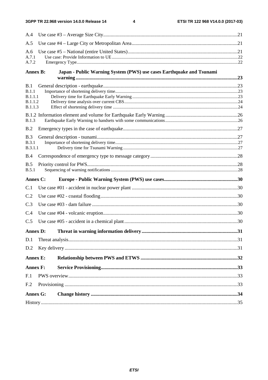$\overline{\mathbf{4}}$ 

| A.4                       |  |                                                                      |  |  |  |  |  |
|---------------------------|--|----------------------------------------------------------------------|--|--|--|--|--|
| A.5                       |  |                                                                      |  |  |  |  |  |
| A.6<br>A.7.1<br>A.7.2     |  |                                                                      |  |  |  |  |  |
| <b>Annex B:</b>           |  | Japan - Public Warning System (PWS) use cases Earthquake and Tsunami |  |  |  |  |  |
| B.1                       |  |                                                                      |  |  |  |  |  |
| B.1.1                     |  |                                                                      |  |  |  |  |  |
| B.1.1.1<br><b>B.1.1.2</b> |  |                                                                      |  |  |  |  |  |
| B.1.1.3                   |  |                                                                      |  |  |  |  |  |
|                           |  |                                                                      |  |  |  |  |  |
| B.1.3                     |  |                                                                      |  |  |  |  |  |
| B.2                       |  |                                                                      |  |  |  |  |  |
| B.3                       |  |                                                                      |  |  |  |  |  |
| <b>B.3.1</b>              |  |                                                                      |  |  |  |  |  |
| <b>B.3.1.1</b>            |  |                                                                      |  |  |  |  |  |
| B.4                       |  |                                                                      |  |  |  |  |  |
| B.5<br>B.5.1              |  |                                                                      |  |  |  |  |  |
|                           |  |                                                                      |  |  |  |  |  |
| <b>Annex C:</b>           |  |                                                                      |  |  |  |  |  |
| C.1                       |  |                                                                      |  |  |  |  |  |
| C.2                       |  |                                                                      |  |  |  |  |  |
| C.3                       |  |                                                                      |  |  |  |  |  |
| C.4                       |  |                                                                      |  |  |  |  |  |
| C.5                       |  |                                                                      |  |  |  |  |  |
| <b>Annex D:</b>           |  |                                                                      |  |  |  |  |  |
| D.1                       |  |                                                                      |  |  |  |  |  |
| D.2                       |  |                                                                      |  |  |  |  |  |
| <b>Annex E:</b>           |  |                                                                      |  |  |  |  |  |
| <b>Annex F:</b>           |  |                                                                      |  |  |  |  |  |
| F.1                       |  |                                                                      |  |  |  |  |  |
| F.2                       |  |                                                                      |  |  |  |  |  |
| <b>Annex G:</b>           |  |                                                                      |  |  |  |  |  |
|                           |  |                                                                      |  |  |  |  |  |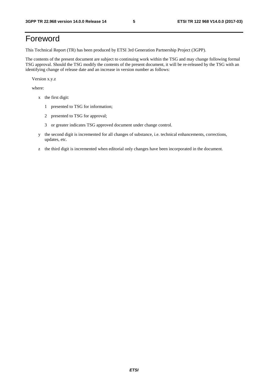## Foreword

This Technical Report (TR) has been produced by ETSI 3rd Generation Partnership Project (3GPP).

The contents of the present document are subject to continuing work within the TSG and may change following formal TSG approval. Should the TSG modify the contents of the present document, it will be re-released by the TSG with an identifying change of release date and an increase in version number as follows:

Version x.y.z

where:

- x the first digit:
	- 1 presented to TSG for information;
	- 2 presented to TSG for approval;
	- 3 or greater indicates TSG approved document under change control.
- y the second digit is incremented for all changes of substance, i.e. technical enhancements, corrections, updates, etc.
- z the third digit is incremented when editorial only changes have been incorporated in the document.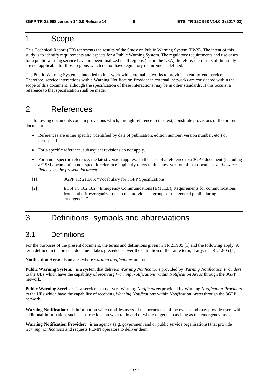## 1 Scope

This Technical Report (TR) represents the results of the Study on Public Warning System (PWS). The intent of this study is to identify requirements and aspects for a Public Warning System. The regulatory requirements and use cases for a public warning service have not been finalized in all regions (i.e. in the USA) therefore, the results of this study are not applicable for those regions which do not have regulatory requirements defined.

The Public Warning System is intended to interwork with external networks to provide an end-to-end service. Therefore, service interactions with a Warning Notification Provider in external networks are considered within the scope of this document, although the specification of these interactions may be in other standards. If this occurs, a reference to that specification shall be made.

## 2 References

The following documents contain provisions which, through reference in this text, constitute provisions of the present document.

- References are either specific (identified by date of publication, edition number, version number, etc.) or non-specific.
- For a specific reference, subsequent revisions do not apply.
- For a non-specific reference, the latest version applies. In the case of a reference to a 3GPP document (including a GSM document), a non-specific reference implicitly refers to the latest version of that document *in the same Release as the present document*.
- [1] 3GPP TR 21.905: "Vocabulary for 3GPP Specifications".
- [2] ETSI TS 102 182: "Emergency Communications (EMTEL); Requirements for communications from authorities/organizations to the individuals, groups or the general public during emergencies".

## 3 Definitions, symbols and abbreviations

### 3.1 Definitions

For the purposes of the present document, the terms and definitions given in TR 21.905 [1] and the following apply. A term defined in the present document takes precedence over the definition of the same term, if any, in TR 21.905 [1].

**Notification Area:** is an area where *warning notifications* are sent.

**Public Warning System:** is a system that delivers *Warning Notifications* provided by *Warning Notification Providers* to the UEs which have the capability of receiving *Warning Notifications* within *Notification Areas* through the 3GPP network.

**Public Warning Service:** is a service that delivers Warning *Notifications* provided by Warning *Notification Providers* to the UEs which have the capability of receiving *Warning Notifications* within *Notification Areas* through the 3GPP network.

**Warning Notification:** is information which notifies users of the occurrence of the events and may provide users with additional information, such as instructions on what to do and or where to get help as long as the emergency lasts.

**Warning Notification Provider:** is an agency (e.g. government and or public service organisations) that provide *warning notifications* and requests PLMN operators to deliver them.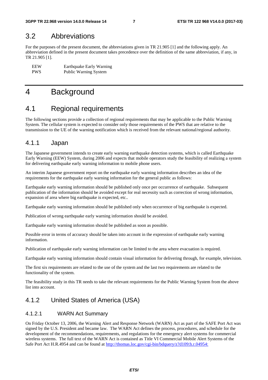#### 3.2 Abbreviations

For the purposes of the present document, the abbreviations given in TR 21.905 [1] and the following apply. An abbreviation defined in the present document takes precedence over the definition of the same abbreviation, if any, in TR 21.905 [1].

EEW Earthquake Early Warning<br>
PWS Public Warning System Public Warning System

### 4 Background

#### 4.1 Regional requirements

The following sections provide a collection of regional requirements that may be applicable to the Public Warning System. The cellular system is expected to consider only those requirements of the PWS that are relative to the transmission to the UE of the warning notification which is received from the relevant national/regional authority.

#### 4.1.1 Japan

The Japanese government intends to create early warning earthquake detection systems, which is called Earthquake Early Warning (EEW) System, during 2006 and expects that mobile operators study the feasibility of realizing a system for delivering earthquake early warning information to mobile phone users.

An interim Japanese government report on the earthquake early warning information describes an idea of the requirements for the earthquake early warning information for the general public as follows:

Earthquake early warning information should be published only once per occurrence of earthquake. Subsequent publication of the information should be avoided except for real necessity such as correction of wrong information, expansion of area where big earthquake is expected, etc..

Earthquake early warning information should be published only when occurrence of big earthquake is expected.

Publication of wrong earthquake early warning information should be avoided.

Earthquake early warning information should be published as soon as possible.

Possible error in terms of accuracy should be taken into account in the expression of earthquake early warning information.

Publication of earthquake early warning information can be limited to the area where evacuation is required.

Earthquake early warning information should contain visual information for delivering through, for example, television.

The first six requirements are related to the use of the system and the last two requirements are related to the functionality of the system.

The feasibility study in this TR needs to take the relevant requirements for the Public Warning System from the above list into account.

#### 4.1.2 United States of America (USA)

#### 4.1.2.1 WARN Act Summary

On Friday October 13, 2006, the Warning Alert and Response Network (WARN) Act as part of the SAFE Port Act was signed by the U.S. President and became law. The WARN Act defines the process, procedures, and schedule for the development of the recommendations, requirements, and regulations for the emergency alert systems for commercial wireless systems. The full text of the WARN Act is contained as Title VI Commercial Mobile Alert Systems of the Safe Port Act H.R.4954 and can be found at [http://thomas.loc.gov/cgi-bin/bdquery/z?d109:h.r.04954:](http://thomas.loc.gov/cgi-bin/bdquery/z?d109:h.r.04954:4)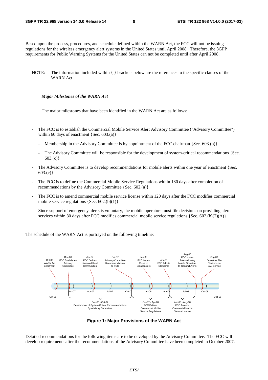Based upon the process, procedures, and schedule defined within the WARN Act, the FCC will not be issuing regulations for the wireless emergency alert systems in the United States until April 2008. Therefore, the 3GPP requirements for Public Warning Systems for the United States can not be completed until after April 2008.

NOTE: The information included within { } brackets below are the references to the specific clauses of the WARN Act.

#### *Major Milestones of the WARN Act*

The major milestones that have been identified in the WARN Act are as follows:

- The FCC is to establish the Commercial Mobile Service Alert Advisory Committee ("Advisory Committee") within 60 days of enactment  ${Sec. 603(a)}$ 
	- Membership in the Advisory Committee is by appointment of the FCC chairman  $\{Sec. 603. (b)\}\$
	- The Advisory Committee will be responsible for the development of system-critical recommendations {Sec. 603.(c)}
- The Advisory Committee is to develop recommendations for mobile alerts within one year of enactment {Sec.  $603.(c)$
- The FCC is to define the Commercial Mobile Service Regulations within 180 days after completion of recommendations by the Advisory Committee {Sec. 602.(a)}
- The FCC is to amend commercial mobile service license within 120 days after the FCC modifies commercial mobile service regulations {Sec. 602.(b)(1)}
- Since support of emergency alerts is voluntary, the mobile operators must file decisions on providing alert services within 30 days after FCC modifies commercial mobile service regulations {Sec. 602.(b)(2)(A)}

The schedule of the WARN Act is portrayed on the following timeline:



**Figure 1: Major Provisions of the WARN Act** 

Detailed recommendations for the following items are to be developed by the Advisory Committee. The FCC will develop requirements after the recommendations of the Advisory Committee have been completed in October 2007.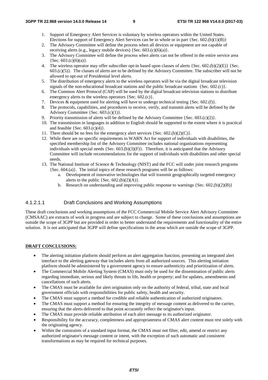- 1. Support of Emergency Alert Services is voluntary by wireless operators within the United States. Elections for support of Emergency Alert Services can be in whole or in part {Sec.  $602(6)(1)(B)$ }
- 2. The Advisory Committee will define the process when all devices or equipment are not capable of receiving alerts (e.g., legacy mobile devices) {Sec. 603.(c)(6)(a)}.
- 3. The Advisory Committee will define the process when alerts can not be offered in the entire service area  ${Sec. 603.(c)(6)(a)}.$
- 4. The wireless operator may offer subscriber opt-in based upon classes of alerts {Sec. 602.(b)(2)(E)} {Sec.  $603.(c)(5)$ . The classes of alerts are to be defined by the Advisory Committee. The subscriber will not be allowed to opt-out of Presidential level alerts.
- 5. The distribution of emergency alerts to the wireless operators will be via the digital broadcast television signals of the non-educational broadcast stations and the public broadcast stations {Sec. 602.(c)}.
- 6. The Common Alert Protocol (CAP) will be used by the digital broadcast television stations to distribute emergency alerts to the wireless operators {Sec. 602.(c)}.
- 7. Devices & equipment used for alerting will have to undergo technical testing {Sec. 602.(f)}.
- 8. The protocols, capabilities, and procedures to receive, verify, and transmit alerts will be defined by the Advisory Committee  ${Sec. 603.(c)(1)}$ .
- 9. Priority transmission of alerts will be defined by the Advisory Committee {Sec.  $603.(c)(2)$ }.
- 10. The transmission in languages in addition to English should be supported to the extent where it is practical and feasible  ${Sec. 603.(c)(4)}.$
- 11. There should be no fees for the emergency alert services  ${Sec. 602.(b)(2)(C)}$ .
- 12. While there are no specific requirements in WARN Act for support of individuals with disabilities, the specified membership list of the Advisory Committee includes national organizations representing individuals with special needs  ${Sec. 603(b)(3)(F)}$ . Therefore, it is anticipated that the Advisory Committee will include recommendations for the support of individuals with disabilities and other special needs.
- 13. The National Institute of Science & Technology (NIST) and the FCC will under joint research programs {Sec. 604.(a)}. The initial topics of these research programs will be as follows:
	- a. Development of innovative technologies that will transmit geographically targeted emergency alerts to the public  ${Sec. 602.(b)(2)(A)}$ .
	- b. Research on understanding and improving public response to warnings  ${Sec. 602.(b)(2)(B)}$

#### 4.1.2.1.1 Draft Conclusions and Working Assumptions

These draft conclusions and working assumptions of the FCC Commercial Mobile Service Alert Advisory Committee (CMSAAC) are extracts of work in progress and are subject to change. Some of these conclusions and assumptions are outside the scope of 3GPP but are provided in order to better understand the requirements and functionality of the entire solution. It is not anticipated that 3GPP will define specifications in the areas which are outside the scope of 3GPP.

#### **DRAFT CONCLUSIONS:**

- The alerting initiation platform should perform an alert aggregation function, presenting an integrated alert interface to the alerting gateway that includes alerts from all authorized sources. This alerting initiation platform should be administered by a government agency to ensure authenticity and prioritization of alerts.
- The Commercial Mobile Alerting System (CMAS) must only be used for the dissemination of public alerts regarding immediate, serious and likely threats to life, health or property; and for updates, amendments and cancellations of such alerts.
- The CMAS must be available for alert origination only on the authority of federal, tribal, state and local government officials with responsibilities for public safety, health and security.
- The CMAS must support a method for credible and reliable authentication of authorized originators.
- The CMAS must support a method for ensuring the integrity of message content as delivered to the carrier, ensuring that the alerts delivered to that point accurately reflect the originator's input.
- The CMAS must provide reliable attribution of each alert message to its authorized originator.
- Responsibility for the accuracy, completeness and appropriateness of CMAS alert content must rest solely with the originating agency.
- Within the constraints of a standard input format, the CMAS must not filter, edit, amend or restrict any authorized originator's message content or intent, with the exception of such automatic and consistent transformations as may be required for technical purposes.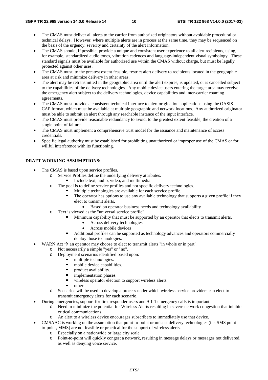- The CMAS must deliver all alerts to the carrier from authorized originators without avoidable procedural or technical delays. However, where multiple alerts are in process at the same time, they may be sequenced on the basis of the urgency, severity and certainty of the alert information.
- The CMAS should, if possible, provide a unique and consistent user experience to all alert recipients, using, for example, standardized audio tones, vibration cadences and language-independent visual symbology. These standard signals must be available for authorized use within the CMAS without charge, but must be legally protected against other uses.
- The CMAS must, to the greatest extent feasible, restrict alert delivery to recipients located in the geographic area at risk and minimize delivery in other areas.
- The alert may be retransmitted in the geographic area until the alert expires, is updated, or is cancelled subject to the capabilities of the delivery technologies. Any mobile device users entering the target area may receive the emergency alert subject to the delivery technologies, device capabilities and inter-carrier roaming agreements.
- The CMAS must provide a consistent technical interface to alert origination applications using the OASIS CAP format, which must be available at multiple geographic and network locations. Any authorized originator must be able to submit an alert through any reachable instance of the input interface.
- The CMAS must provide reasonable redundancy to avoid, to the greatest extent feasible, the creation of a single point of failure.
- The CMAS must implement a comprehensive trust model for the issuance and maintenance of access credentials.
- Specific legal authority must be established for prohibiting unauthorized or improper use of the CMAS or for willful interference with its functioning.

#### **DRAFT WORKING ASSUMPTIONS:**

- The CMAS is based upon service profiles.
	- o Service Profiles define the underlying delivery attributes.<br>Include text, audio, video, and multimedia
		-
	- Include text, audio, video, and multimedia<br>
	o The goal is to define service profiles and not specific delivery technologies.
		- Multiple technologies are available for each service profile.<br>The operator has options to use any available technology the
		- The operator has options to use any available technology that supports a given profile if they elect to transmit alerts.
			- Based on operator business needs and technology availability
	- o Text is viewed as the "universal service profile".
		- Minimum capability that must be supported by an operator that elects to transmit alerts.
			- Across delivery technologies
			- Across mobile devices
		- Additional profiles can be supported as technology advances and operators commercially deploy those technologies.
- WARN Act  $\rightarrow$  an operator may choose to elect to transmit alerts "in whole or in part".<br>  $\sim$  Not necessarily a simple "ves" or "no"
	- o Not necessarily a simple "yes" or "no".
		- o Deployment scenarios identified based upon:
			- multiple technologies.<br>mobile device capability
			- mobile device capabilities.
			- product availability.
			- implementation phases.
			- wireless operator election to support wireless alerts.<br>
			other
			-
		- other.<br>
		o Scenarios will be used to develop a process under which wireless service providers can elect to transmit emergency alerts for each scenario.
- During emergencies, support for first responder users and 9-1-1 emergency calls is important.
	- o Need to minimize the potential for Wireless Alerts resulting in severe network congestion that inhibits critical communications.
	- o An alert to a wireless device encourages subscribers to immediately use that device.
- CMSAAC is working on the assumption that point-to-point or unicast delivery technologies (i.e. SMS pointto-point, MMS) are not feasible or practical for the support of wireless alerts.
	- o Especially on a nationwide or large city scale.
	- o Point-to-point will quickly congest a network, resulting in message delays or messages not delivered, as well as denying voice service.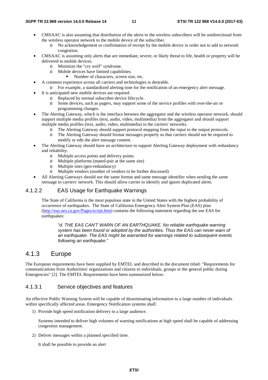- CMSAAC is also assuming that distribution of the alerts to the wireless subscribers will be unidirectional from the wireless operator network to the mobile device of the subscriber.
	- o No acknowledgement or confirmation of receipt by the mobile device in order not to add to network congestion.
- CMSAAC is assuming only alerts that are immediate, severe, or likely threat to life, health or property will be delivered to mobile devices.
	- o Minimize the "cry wolf" syndrome.
	- o Mobile devices have limited capabilities.
		- Number of characters, screen size, etc.
- A common experience across all carriers and technologies is desirable.
	- o For example, a standardized alerting tone for the notification of an emergency alert message.
- It is anticipated new mobile devices are required.
	- o Replaced by normal subscriber device lifecycle.
	- o Some devices, such as pagers, may support some of the service profiles with over-the-air or programming changes.
- The Alerting Gateway, which is the interface between the aggregator and the wireless operator network, should support multiple media profiles (text, audio, video, multimedia) from the aggregator and should support multiple media profiles (text, audio, video, multimedia) to the carriers' networks.
	- o The Alerting Gateway should support protocol mapping from the input to the output protocols.
	- o The Alerting Gateway should format messages properly so that carriers should not be required to modify or edit the alert message content.
- The Alerting Gateway should have an architecture to support Alerting Gateway deployment with redundancy and reliability.
	- o Multiple access points and delivery points
	- o Multiple platforms (mated-pair at the same site)
	- o Multiple sites (geo-redundancy)
	- o Multiple vendors (number of vendors to be further discussed)
- All Alerting Gateways should use the same format and same message identifier when sending the same message to carriers' network. This should allow carrier to identify and ignore duplicated alerts.

#### 4.1.2.2 EAS Usage for Earthquake Warnings

The State of California is the most populous state in the United States with the highest probability of occurrence of earthquakes. The State of California Emergency Alert System Plan (EAS) plan (<http://eas.oes.ca.gov/Pages/script.htm>) contains the following statement regarding the use EAS for earthquakes:

"*d. THE EAS CAN'T WARN OF AN EARTHQUAKE. No reliable earthquake warning system has been found or adopted by the authorities. Thus the EAS can never warn of an earthquake. The EAS might be warranted for warnings related to subsequent events following an earthquake.*"

#### 4.1.3 Europe

The European requirements have been supplied by EMTEL and described in the document titled: "Requirements for communications from Authorities/ organizations and citizens to individuals, groups or the general public during Emergencies" [2]. The EMTEL Requirements have been summarized below:

#### 4.1.3.1 Service objectives and features

An effective Public Warning System will be capable of disseminating information to a large number of individuals within specifically affected areas. Emergency Notification systems shall:

1) Provide high speed notification delivery to a large audience.

Systems intended to deliver high volumes of warning notifications at high speed shall be capable of addressing congestion management.

2) Deliver messages within a planned specified time.

It shall be possible to provide an alert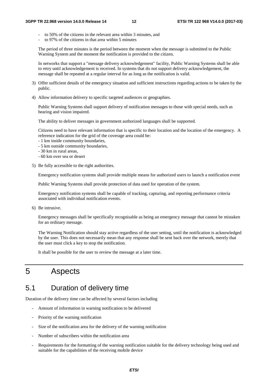- to 50% of the citizens in the relevant area within 3 minutes, and
- to 97% of the citizens in that area within 5 minutes

The period of three minutes is the period between the moment when the message is submitted to the Public Warning System and the moment the notification is provided to the citizen.

In networks that support a "message delivery acknowledgement" facility, Public Warning Systems shall be able to retry until acknowledgement is received. In systems that do not support delivery acknowledgement, the message shall be repeated at a regular interval for as long as the notification is valid.

- 3) Offer sufficient details of the emergency situation and sufficient instructions regarding actions to be taken by the public.
- 4) Allow information delivery to specific targeted audiences or geographies.

Public Warning Systems shall support delivery of notification messages to those with special needs, such as hearing and vision impaired.

The ability to deliver messages in government authorized languages shall be supported.

Citizens need to have relevant information that is specific to their location and the location of the emergency. A reference indication for the grid of the coverage area could be:

- 1 km inside community boundaries,
- 5 km outside community boundaries,
- 30 km in rural areas,
- 60 km over sea or desert
- 5) Be fully accessible to the right authorities.

Emergency notification systems shall provide multiple means for authorized users to launch a notification event

Public Warning Systems shall provide protection of data used for operation of the system.

Emergency notification systems shall be capable of tracking, capturing, and reporting performance criteria associated with individual notification events.

6) Be intrusive.

Emergency messages shall be specifically recognisable as being an emergency message that cannot be mistaken for an ordinary message.

The Warning Notification should stay active regardless of the user setting, until the notification is acknowledged by the user. This does not necessarily mean that any response shall be sent back over the network, merely that the user must click a key to stop the notification.

It shall be possible for the user to review the message at a later time.

## 5 Aspects

### 5.1 Duration of delivery time

Duration of the delivery time can be affected by several factors including

- Amount of information in warning notification to be delivered
- Priority of the warning notification
- Size of the notification area for the delivery of the warning notification
- Number of subscribers within the notification area
- Requirements for the formatting of the warning notification suitable for the delivery technology being used and suitable for the capabilities of the receiving mobile device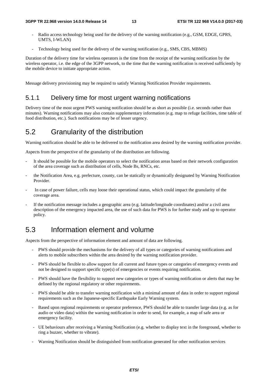- Radio access technology being used for the delivery of the warning notification (e.g., GSM, EDGE, GPRS, UMTS, I-WLAN)
- Technology being used for the delivery of the warning notification (e.g., SMS, CBS, MBMS)

Duration of the delivery time for wireless operators is the time from the receipt of the warning notification by the wireless operator, i.e. the edge of the 3GPP network, to the time that the warning notification is received sufficiently by the mobile device to initiate appropriate action.

Message delivery provisioning may be required to satisfy Warning Notification Provider requirements.

#### 5.1.1 Delivery time for most urgent warning notifications

Delivery time of the most urgent PWS warning notification should be as short as possible (i.e. seconds rather than minutes). Warning notifications may also contain supplementary information (e.g. map to refuge facilities, time table of food distribution, etc.). Such notifications may be of lesser urgency.

### 5.2 Granularity of the distribution

Warning notification should be able to be delivered to the notification area desired by the warning notification provider.

Aspects from the perspective of the granularity of the distribution are following.

- It should be possible for the mobile operators to select the notification areas based on their network configuration of the area coverage such as distribution of cells, Node Bs, RNCs, etc.
- the Notification Area, e.g. prefecture, county, can be statically or dynamically designated by Warning Notification Provider.
- In case of power failure, cells may loose their operational status, which could impact the granularity of the coverage area.
- If the notification message includes a geographic area (e.g. latitude/longitude coordinates) and/or a civil area description of the emergency impacted area, the use of such data for PWS is for further study and up to operator policy.

## 5.3 Information element and volume

Aspects from the perspective of information element and amount of data are following.

- PWS should provide the mechanisms for the delivery of all types or categories of warning notifications and alerts to mobile subscribers within the area desired by the warning notification provider.
- PWS should be flexible to allow support for all current and future types or categories of emergency events and not be designed to support specific type(s) of emergencies or events requiring notification.
- PWS should have the flexibility to support new categories or types of warning notification or alerts that may be defined by the regional regulatory or other requirements.
- PWS should be able to transfer warning notification with a minimal amount of data in order to support regional requirements such as the Japanese-specific Earthquake Early Warning system.
- Based upon regional requirements or operator preference, PWS should be able to transfer large data (e.g. as for audio or video data) within the warning notification in order to send, for example, a map of safe area or emergency facility.
- UE behaviours after receiving a Warning Notification (e.g. whether to display text in the foreground, whether to ring a buzzer, whether to vibrate).
- Warning Notification should be distinguished from notification generated for other notification services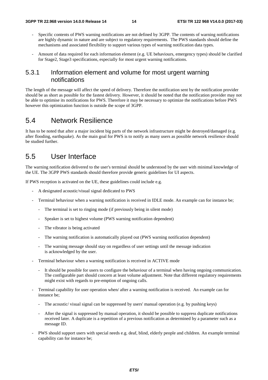- Specific contents of PWS warning notifications are not defined by 3GPP. The contents of warning notifications are highly dynamic in nature and are subject to regulatory requirements. The PWS standards should define the mechanisms and associated flexibility to support various types of warning notification data types.
- Amount of data required for each information element (e.g. UE behaviours, emergency types) should be clarified for Stage2, Stage3 specifications, especially for most urgent warning notifications.

#### 5.3.1 Information element and volume for most urgent warning notifications

The length of the message will affect the speed of delivery. Therefore the notification sent by the notification provider should be as short as possible for the fastest delivery. However, it should be noted that the notification provider may not be able to optimise its notifications for PWS. Therefore it may be necessary to optimize the notifications before PWS however this optimization function is outside the scope of 3GPP.

#### 5.4 Network Resilience

It has to be noted that after a major incident big parts of the network infrastructure might be destroyed/damaged (e.g. after flooding, earthquake). As the main goal for PWS is to notify as many users as possible network resilience should be studied further.

#### 5.5 User Interface

The warning notification delivered to the user's terminal should be understood by the user with minimal knowledge of the UE. The 3GPP PWS standards should therefore provide generic guidelines for UI aspects.

If PWS reception is activated on the UE, these guidelines could include e.g.

- A designated acoustic/visual signal dedicated to PWS
- Terminal behaviour when a warning notification is received in IDLE mode. An example can for instance be;
	- The terminal is set to ringing mode (if previously being in silent mode)
	- Speaker is set to highest volume (PWS warning notification dependent)
	- The vibrator is being activated
	- The warning notification is automatically played out (PWS warning notification dependent)
	- The warning message should stay on regardless of user settings until the message indication is acknowledged by the user.
- Terminal behaviour when a warning notification is received in ACTIVE mode
	- It should be possible for users to configure the behaviour of a terminal when having ongoing communication. The configurable part should concern at least volume adjustment. Note that different regulatory requirements might exist with regards to pre-emption of ongoing calls.
- Terminal capability for user operation when/ after a warning notification is received. An example can for instance be;
	- The acoustic/ visual signal can be suppressed by users' manual operation (e.g. by pushing keys)
	- After the signal is suppressed by manual operation, it should be possible to suppress duplicate notifications received later. A duplicate is a repetition of a previous notification as determined by a parameter such as a message ID.
- PWS should support users with special needs e.g. deaf, blind, elderly people and children. An example terminal capability can for instance be;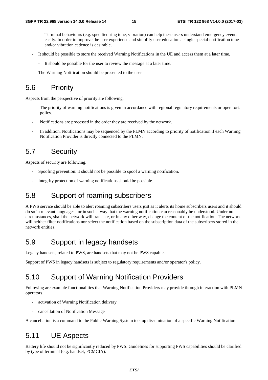- Terminal behaviours (e.g. specified ring tone, vibration) can help these users understand emergency events easily. In order to improve the user experience and simplify user education a single special notification tone and/or vibration cadence is desirable.
- It should be possible to store the received Warning Notifications in the UE and access them at a later time.
	- It should be possible for the user to review the message at a later time.
- The Warning Notification should be presented to the user

### 5.6 Priority

Aspects from the perspective of priority are following.

- The priority of warning notifications is given in accordance with regional regulatory requirements or operator's policy.
- Notifications are processed in the order they are received by the network.
- In addition, Notifications may be sequenced by the PLMN according to priority of notification if each Warning Notification Provider is directly connected to the PLMN.

#### 5.7 Security

Aspects of security are following.

- Spoofing prevention: it should not be possible to spoof a warning notification.
- Integrity protection of warning notifications should be possible.

## 5.8 Support of roaming subscribers

A PWS service should be able to alert roaming subscribers users just as it alerts its home subscribers users and it should do so in relevant languages , or in such a way that the warning notification can reasonably be understood. Under no circumstances, shall the network will translate, or in any other way, change the content of the notification. The network will neither filter notifications nor select the notification based on the subscription data of the subscribers stored in the network entities.

#### 5.9 Support in legacy handsets

Legacy handsets, related to PWS, are handsets that may not be PWS capable.

Support of PWS in legacy handsets is subject to regulatory requirements and/or operator's policy.

#### 5.10 Support of Warning Notification Providers

Following are example functionalities that Warning Notification Providers may provide through interaction with PLMN operators.

- activation of Warning Notification delivery
- cancellation of Notification Message

A cancellation is a command to the Public Warning System to stop dissemination of a specific Warning Notification.

#### 5.11 UE Aspects

Battery life should not be significantly reduced by PWS. Guidelines for supporting PWS capabilities should be clarified by type of terminal (e.g. handset, PCMCIA).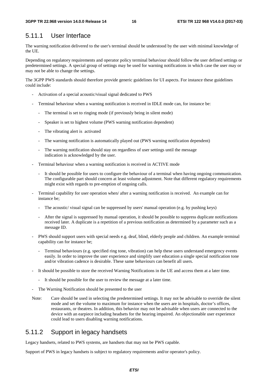### 5.11.1 User Interface

The warning notification delivered to the user's terminal should be understood by the user with minimal knowledge of the UE.

Depending on regulatory requirements and operator policy terminal behaviour should follow the user defined settings or predetermined settings. A special group of settings may be used for warning notifications in which case the user may or may not be able to change the settings.

The 3GPP PWS standards should therefore provide generic guidelines for UI aspects. For instance these guidelines could include:

- Activation of a special acoustic/visual signal dedicated to PWS
- Terminal behaviour when a warning notification is received in IDLE mode can, for instance be:
	- The terminal is set to ringing mode (if previously being in silent mode)
	- Speaker is set to highest volume (PWS warning notification dependent)
	- The vibrating alert is activated
	- The warning notification is automatically played out (PWS warning notification dependent)
	- The warning notification should stay on regardless of user settings until the message indication is acknowledged by the user.
- Terminal behaviour when a warning notification is received in ACTIVE mode
	- It should be possible for users to configure the behaviour of a terminal when having ongoing communication. The configurable part should concern at least volume adjustment. Note that different regulatory requirements might exist with regards to pre-emption of ongoing calls.
- Terminal capability for user operation when/ after a warning notification is received. An example can for instance be;
	- The acoustic/ visual signal can be suppressed by users' manual operation (e.g. by pushing keys)
	- After the signal is suppressed by manual operation, it should be possible to suppress duplicate notifications received later. A duplicate is a repetition of a previous notification as determined by a parameter such as a message ID.
- PWS should support users with special needs e.g. deaf, blind, elderly people and children. An example terminal capability can for instance be;
	- Terminal behaviours (e.g. specified ring tone, vibration) can help these users understand emergency events easily. In order to improve the user experience and simplify user education a single special notification tone and/or vibration cadence is desirable. These same behaviours can benefit all users.
- It should be possible to store the received Warning Notifications in the UE and access them at a later time.
	- It should be possible for the user to review the message at a later time.
- The Warning Notification should be presented to the user
- Note: Care should be used in selecting the predetermined settings. It may not be advisable to override the silent mode and set the volume to maximum for instance when the users are in hospitals, doctor's offices, restaurants, or theatres. In addition, this behavior may not be advisable when users are connected to the device with an earpiece including headsets for the hearing impaired. An objectionable user experience could lead to users disabling warning notifications.

#### 5.11.2 Support in legacy handsets

Legacy handsets, related to PWS systems, are handsets that may not be PWS capable.

Support of PWS in legacy handsets is subject to regulatory requirements and/or operator's policy.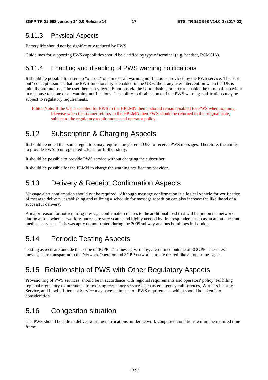#### 5.11.3 Physical Aspects

Battery life should not be significantly reduced by PWS.

Guidelines for supporting PWS capabilities should be clarified by type of terminal (e.g. handset, PCMCIA).

#### 5.11.4 Enabling and disabling of PWS warning notifications

It should be possible for users to "opt-out" of some or all warning notifications provided by the PWS service. The "optout" concept assumes that the PWS functionality is enabled in the UE without any user intervention when the UE is initially put into use. The user then can select UE options via the UI to disable, or later re-enable, the terminal behaviour in response to some or all warning notifications The ability to disable some of the PWS warning notifications may be subject to regulatory requirements.

Editor Note: If the UE is enabled for PWS in the HPLMN then it should remain enabled for PWS when roaming, likewise when the roamer returns to the HPLMN then PWS should be returned to the original state, subject to the regulatory requirements and operator policy.

## 5.12 Subscription & Charging Aspects

It should be noted that some regulators may require unregistered UEs to receive PWS messages. Therefore, the ability to provide PWS to unregistered UEs is for further study.

It should be possible to provide PWS service without charging the subscriber.

It should be possible for the PLMN to charge the warning notification provider.

### 5.13 Delivery & Receipt Confirmation Aspects

Message alert confirmation should not be required. Although message confirmation is a logical vehicle for verification of message delivery, establishing and utilizing a schedule for message repetition can also increase the likelihood of a successful delivery.

A major reason for not requiring message confirmation relates to the additional load that will be put on the network during a time when network resources are very scarce and highly needed by first responders, such as an ambulance and medical services. This was aptly demonstrated during the 2005 subway and bus bombings in London.

## 5.14 Periodic Testing Aspects

Testing aspects are outside the scope of 3GPP. Test messages, if any, are defined outside of 3GGPP. These test messages are transparent to the Network Operator and 3GPP network and are treated like all other messages.

## 5.15 Relationship of PWS with Other Regulatory Aspects

Provisioning of PWS services, should be in accordance with regional requirements and operators' policy. Fulfilling regional regulatory requirements for existing regulatory services such as emergency call services, Wireless Priority Service, and Lawful Intercept Service may have an impact on PWS requirements which should be taken into consideration.

### 5.16 Congestion situation

The PWS should be able to deliver warning notifications under network-congested conditions within the required time frame.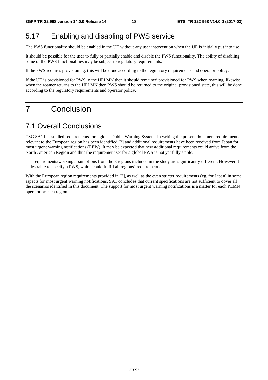#### 5.17 Enabling and disabling of PWS service

The PWS functionality should be enabled in the UE without any user intervention when the UE is initially put into use.

It should be possible for the user to fully or partially enable and disable the PWS functionality. The ability of disabling some of the PWS functionalities may be subject to regulatory requirements.

If the PWS requires provisioning, this will be done according to the regulatory requirements and operator policy.

If the UE is provisioned for PWS in the HPLMN then it should remained provisioned for PWS when roaming, likewise when the roamer returns to the HPLMN then PWS should be returned to the original provisioned state, this will be done according to the regulatory requirements and operator policy.

## 7 Conclusion

#### 7.1 Overall Conclusions

TSG SA1 has studied requirements for a global Public Warning System. In writing the present document requirements relevant to the European region has been identified [2] and additional requirements have been received from Japan for most urgent warning notifications (EEW). It may be expected that new additional requirements could arrive from the North American Region and thus the requirement set for a global PWS is not yet fully stable.

The requirements/working assumptions from the 3 regions included in the study are significantly different. However it is desirable to specify a PWS, which could fulfill all regions' requirements.

With the European region requirements provided in [2], as well as the even stricter requirements (eg. for Japan) in some aspects for most urgent warning notifications, SA1 concludes that current specifications are not sufficient to cover all the scenarios identified in this document. The support for most urgent warning notifications is a matter for each PLMN operator or each region.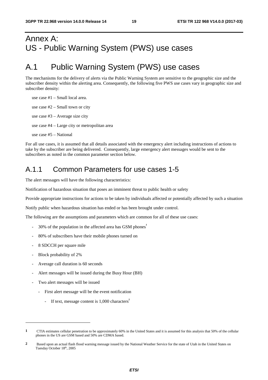## Annex A: US - Public Warning System (PWS) use cases

## A.1 Public Warning System (PWS) use cases

The mechanisms for the delivery of alerts via the Public Warning System are sensitive to the geographic size and the subscriber density within the alerting area. Consequently, the following five PWS use cases vary in geographic size and subscriber density:

use case #2 – Small town or city use case #3 – Average size city use case #4 – Large city or metropolitan area use case #5 – National

use case #1 – Small local area.

For all use cases, it is assumed that all details associated with the emergency alert including instructions of actions to take by the subscriber are being delivered. Consequently, large emergency alert messages would be sent to the subscribers as noted in the common parameter section below.

### A.1.1 Common Parameters for use cases 1-5

The alert messages will have the following characteristics:

Notification of hazardous situation that poses an imminent threat to public health or safety

Provide appropriate instructions for actions to be taken by individuals affected or potentially affected by such a situation

Notify public when hazardous situation has ended or has been brought under control.

The following are the assumptions and parameters which are common for all of these use cases:

- 30% of the population in the affected area has GSM phones<sup>1</sup>
- 80% of subscribers have their mobile phones turned on
- 8 SDCCH per square mile
- Block probability of 2%

1

- Average call duration is 60 seconds
- Alert messages will be issued during the Busy Hour (BH)
- Two alert messages will be issued
	- First alert message will be the event notification
		- If text, message content is 1,000 characters<sup>2</sup>

**<sup>1</sup>** CTIA estimates cellular penetration to be approximately 60% in the United States and it is assumed for this analysis that 50% of the cellular phones in the US are GSM based and 50% are CDMA based.

**<sup>2</sup>** Based upon an actual flash flood warning message issued by the National Weather Service for the state of Utah in the United States on Tuesday October 18th, 2005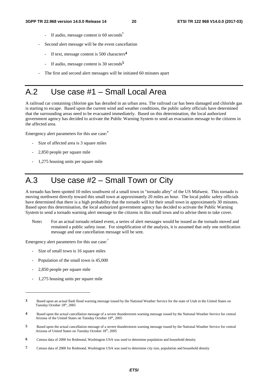- If audio, message content is 60 seconds<sup>3</sup>
- Second alert message will be the event cancellation
	- If text, message content is 500 characters**<sup>4</sup>**
	- If audio, message content is 30 seconds**<sup>5</sup>**
- The first and second alert messages will be initiated 60 minutes apart

## A.2 Use case #1 – Small Local Area

A railroad car containing chlorine gas has derailed in an urban area. The railroad car has been damaged and chloride gas is starting to escape. Based upon the current wind and weather conditions, the public safety officials have determined that the surrounding areas need to be evacuated immediately. Based on this determination, the local authorized government agency has decided to activate the Public Warning System to send an evacuation message to the citizens in the affected area.

Emergency alert parameters for this use case:<sup>8</sup>

- Size of affected area is 3 square miles
- 2,850 people per square mile
- 1,275 housing units per square mile

## A.3 Use case #2 – Small Town or City

A tornado has been spotted 10 miles southwest of a small town in "tornado alley" of the US Midwest. This tornado is moving northwest directly toward this small town at approximately 20 miles an hour. The local public safety officials have determined that there is a high probability that the tornado will hit their small town in approximately 30 minutes. Based upon this determination, the local authorized government agency has decided to activate the Public Warning System to send a tornado warning alert message to the citizens in this small town and to advise them to take cover.

Note**:** For an actual tornado related event, a series of alert messages would be issued as the tornado moved and remained a public safety issue. For simplification of the analysis, it is assumed that only one notification message and one cancellation message will be sent.

Emergency alert parameters for this use case:<sup>7</sup>

- Size of small town is 16 square miles
- Population of the small town is 45,000
- 2,850 people per square mile

-

- 1,275 housing units per square mile

**<sup>3</sup>** Based upon an actual flash flood warning message issued by the National Weather Service for the state of Utah in the United States on Tuesday October 18th, 2005

**<sup>4</sup>** Based upon the actual cancellation message of a severe thunderstorm warning message issued by the National Weather Service for central Arizona of the United States on Tuesday October 18th, 2005

**<sup>5</sup>** Based upon the actual cancellation message of a severe thunderstorm warning message issued by the National Weather Service for central Arizona of United States on Tuesday October 18th, 2005

**<sup>6</sup>** Census data of 2000 for Redmond, Washington USA was used to determine population and household density

**<sup>7</sup>** Census data of 2000 for Redmond, Washington USA was used to determine city size, population and household density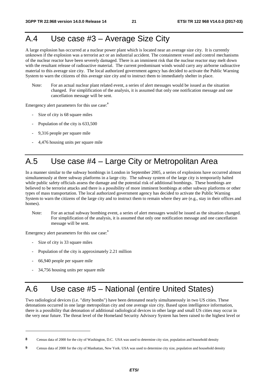## A.4 Use case #3 – Average Size City

A large explosion has occurred at a nuclear power plant which is located near an average size city. It is currently unknown if the explosion was a terrorist act or an industrial accident. The containment vessel and control mechanisms of the nuclear reactor have been severely damaged. There is an imminent risk that the nuclear reactor may melt down with the resultant release of radioactive material. The current predominant winds would carry any airborne radioactive material to this average size city. The local authorized government agency has decided to activate the Public Warning System to warn the citizens of this average size city and to instruct them to immediately shelter in place.

Note: For an actual nuclear plant related event, a series of alert messages would be issued as the situation changed. For simplification of the analysis, it is assumed that only one notification message and one cancellation message will be sent.

Emergency alert parameters for this use case:**<sup>8</sup>**

- Size of city is 68 square miles
- Population of the city is 633,500
- 9,316 people per square mile
- 4,476 housing units per square mile

## A.5 Use case #4 – Large City or Metropolitan Area

In a manner similar to the subway bombings in London in September 2005, a series of explosions have occurred almost simultaneously at three subway platforms in a large city. The subway system of the large city is temporarily halted while public safety officials assess the damage and the potential risk of additional bombings. These bombings are believed to be terrorist attacks and there is a possibility of more imminent bombings at other subway platforms or other types of mass transportation. The local authorized government agency has decided to activate the Public Warning System to warn the citizens of the large city and to instruct them to remain where they are (e.g., stay in their offices and homes).

Note: For an actual subway bombing event, a series of alert messages would be issued as the situation changed. For simplification of the analysis, it is assumed that only one notification message and one cancellation message will be sent.

Emergency alert parameters for this use case:<sup>9</sup>

- Size of city is 33 square miles
- Population of the city is approximately 2.21 million
- 66,940 people per square mile

1

- 34,756 housing units per square mile

## A.6 Use case #5 – National (entire United States)

Two radiological devices (i.e. "dirty bombs") have been detonated nearly simultaneously in two US cities. These detonations occurred in one large metropolitan city and one average size city. Based upon intelligence information, there is a possibility that detonation of additional radiological devices in other large and small US cities may occur in the very near future. The threat level of the Homeland Security Advisory System has been raised to the highest level or

**<sup>8</sup>** Census data of 2000 for the city of Washington, D.C. USA was used to determine city size, population and household density

**<sup>9</sup>** Census data of 2000 for the city of Manhattan, New York. USA was used to determine city size, population and household density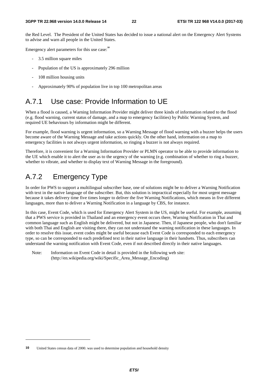the Red Level. The President of the United States has decided to issue a national alert on the Emergency Alert Systems to advise and warn all people in the United States.

Emergency alert parameters for this use case:<sup>10</sup>

- 3.5 million square miles
- Population of the US is approximately 296 million
- 108 million housing units
- Approximately 90% of population live in top 100 metropolitan areas

### A.7.1 Use case: Provide Information to UE

When a flood is caused, a Warning Information Provider might deliver three kinds of information related to the flood (e.g. flood warning, current status of damage, and a map to emergency facilities) by Public Warning System, and required UE behaviours by information might be different.

For example, flood warning is urgent information, so a Warning Message of flood warning with a buzzer helps the users become aware of the Warning Message and take actions quickly. On the other hand, information on a map to emergency facilities is not always urgent information, so ringing a buzzer is not always required.

Therefore, it is convenient for a Warning Information Provider or PLMN operator to be able to provide information to the UE which enable it to alert the user as to the urgency of the warning (e.g. combination of whether to ring a buzzer, whether to vibrate, and whether to display text of Warning Message in the foreground).

### A.7.2 Emergency Type

-

In order for PWS to support a multilingual subscriber base, one of solutions might be to deliver a Warning Notification with text in the native language of the subscriber. But, this solution is impractical especially for most urgent message because it takes delivery time five times longer to deliver the five Warning Notifications, which means in five different languages, more than to deliver a Warning Notification in a language by CBS, for instance.

In this case, Event Code, which is used for Emergency Alert System in the US, might be useful. For example, assuming that a PWS service is provided in Thailand and an emergency event occurs there, Warning Notification in Thai and common language such as English might be delivered, but not in Japanese. Then, if Japanese people, who don't familiar with both Thai and English are visiting there, they can not understand the warning notification in these languages. In order to resolve this issue, event codes might be useful because each Event Code is corresponded to each emergency type, so can be corresponded to each predefined text in their native language in their handsets. Thus, subscribers can understand the warning notification with Event Code, even if not described directly in their native languages.

Note: Information on Event Code in detail is provided in the following web site: (http://en.wikipedia.org/wiki/Specific\_Area\_Message\_Encoding)

**<sup>10</sup>** United States census data of 2000. was used to determine population and household density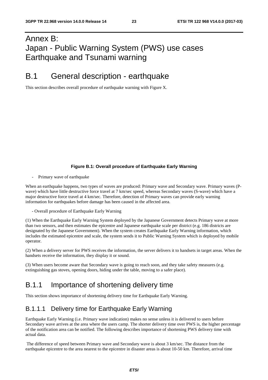## Annex B: Japan - Public Warning System (PWS) use cases Earthquake and Tsunami warning

### B.1 General description - earthquake

This section describes overall procedure of earthquake warning with Figure X.

#### **Figure B.1: Overall procedure of Earthquake Early Warning**

Primary wave of earthquake

When an earthquake happens, two types of waves are produced: Primary wave and Secondary wave. Primary waves (Pwave) which have little destructive force travel at 7 km/sec speed, whereas Secondary waves (S-wave) which have a major destructive force travel at 4 km/sec. Therefore, detection of Primary waves can provide early warning information for earthquakes before damage has been caused in the affected area.

- Overall procedure of Earthquake Early Warning

(1) When the Earthquake Early Warning System deployed by the Japanese Government detects Primary wave at more than two sensors, and then estimates the epicentre and Japanese earthquake scale per district (e.g. 186 districts are designated by the Japanese Government). When the system creates Earthquake Early Warning information, which includes the estimated epicentre and scale, the system sends it to Public Warning System which is deployed by mobile operator.

(2) When a delivery server for PWS receives the information, the server delivers it to handsets in target areas. When the handsets receive the information, they display it or sound.

(3) When users become aware that Secondary wave is going to reach soon, and they take safety measures (e.g. extinguishing gas stoves, opening doors, hiding under the table, moving to a safer place).

### B.1.1 Importance of shortening delivery time

This section shows importance of shortening delivery time for Earthquake Early Warning.

#### B.1.1.1 Delivery time for Earthquake Early Warning

Earthquake Early Warning (i.e. Primary wave indication) makes no sense unless it is delivered to users before Secondary wave arrives at the area where the users camp. The shorter delivery time over PWS is, the higher percentage of the notification area can be notified. The following describes importance of shortening PWS delivery time with actual data.

 The difference of speed between Primary wave and Secondary wave is about 3 km/sec. The distance from the earthquake epicentre to the area nearest to the epicentre in disaster areas is about 10-50 km. Therefore, arrival time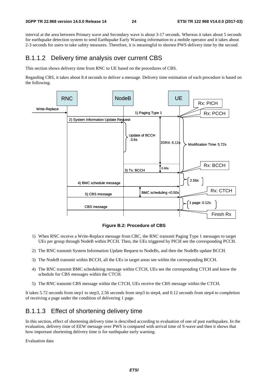interval at the area between Primary wave and Secondary wave is about 3-17 seconds. Whereas it takes about 5 seconds for earthquake detection system to send Earthquake Early Warning information to a mobile operator and it takes about 2-3 seconds for users to take safety measures. Therefore, it is meaningful to shorten PWS delivery time by the second.

#### B.1.1.2 Delivery time analysis over current CBS

This section shows delivery time from RNC to UE based on the procedures of CBS.

Regarding CBS, it takes about 8.4 seconds to deliver a message. Delivery time estimation of each procedure is based on the following.



**Figure B.2: Procedure of CBS** 

- 1) When RNC receive a Write-Replace message from CBC, the RNC transmit Paging Type 1 messages to target UEs per group through NodeB within PCCH. Then, the UEs triggered by PICH see the corresponding PCCH.
- 2) The RNC transmit System Information Update Request to NodeBs, and then the NodeBs update BCCH.
- 3) The NodeB transmit within BCCH, all the UEs in target areas see within the corresponding BCCH.
- 4) The RNC transmit BMC scheduleing message within CTCH, UEs see the corresponding CTCH and know the schedule for CBS messages within the CTCH.
- 5) The RNC transmit CBS message within the CTCH, UEs receive the CBS message within the CTCH.

It takes 5.72 seconds from step1 to step3, 2.56 seconds from step3 to step4, and 0.12 seconds from step4 to completion of receiving a page under the condition of delivering 1 page.

#### B.1.1.3 Effect of shortening delivery time

In this section, effect of shortening delivery time is described according to evaluation of one of past earthquakes. In the evaluation, delivery time of EEW message over PWS is compared with arrival time of S-wave and then it shows that how important shortening delivery time is for earthquake early warning.

Evaluation data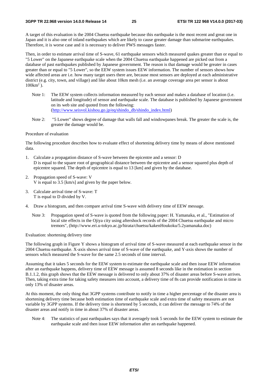A target of this evaluation is the 2004 Chuetsu earthquake because this earthquake is the most recent and great one in Japan and it is also one of inland earthquakes which are likely to cause greater damage than submarine earthquakes. Therefore, it is worse case and it is necessary to deliver PWS messages faster.

Then, in order to estimate arrival time of S-wave, 61 earthquake sensors which measured quakes greater than or equal to "5 Lower" on the Japanese earthquake scale when the 2004 Chuetsu earthquake happened are picked out from a database of past earthquakes published by Japanese government. The reason is that damage would be greater in cases greater than or equal to "5 Lower", so the EEW system issues EEW information. The number of sensors shows how wide affected areas are i.e. how many target users there are, because most sensors are deployed at each administrative district (e.g. city, town, and village) and like about 10km mesh (i.e. an average coverage area per sensor is about  $100 \text{km}^2$ ).

- Note 1: The EEW system collects information measured by each sensor and makes a database of location (i.e. latitude and longitude) of sensor and earthquake scale. The database is published by Japanese government on its web site and quoted from the following: ([http://www.seisvol.kishou.go.jp/eq/shindo\\_db/shindo\\_index.html](http://www.seisvol.kishou.go.jp/eq/shindo_db/shindo_index.html))
- Note 2: "5 Lower" shows degree of damage that walls fall and windowpanes break. The greater the scale is, the greater the damage would be.

#### Procedure of evaluation

The following procedure describes how to evaluate effect of shortening delivery time by means of above mentioned data.

- 1. Calculate a propagation distance of S-wave between the epicentre and a sensor: D D is equal to the square root of geographical distance between the epicentre and a sensor squared plus depth of epicentre squared. The depth of epicentre is equal to 13 [km] and given by the database.
- 2. Propagation speed of S-wave: V V is equal to 3.5 [km/s] and given by the paper below.
- 3. Calculate arrival time of S-wave: T T is equal to D divided by V.
- 4. Draw a histogram, and then compare arrival time S-wave with delivery time of EEW message.
	- Note 3: Propagation speed of S-wave is quoted from the following paper: H. Yamanaka, et al., "Estimation of local site effects in the Ojiya city using aftershock records of the 2004 Chuetsu earthquake and micro tremors", (http://www.eri.u-tokyo.ac.jp/hirata/chuetsu/kakenHoukoku/5.2yamanaka.doc)

Evaluation: shortening delivery time

The following graph in Figure Y shows a histogram of arrival time of S-wave measured at each earthquake sensor in the 2004 Chuetsu earthquake. X-axis shows arrival time of S-wave of the earthquake, and Y-axis shows the number of sensors which measured the S-wave for the same 2.5 seconds of time interval.

Assuming that it takes 5 seconds for the EEW system to estimate the earthquake scale and then issue EEW information after an earthquake happens, delivery time of EEW message is assumed 8 seconds like in the estimation in section B.1.1.2, this graph shows that the EEW message is delivered to only about 37% of disaster areas before S-wave arrives. Then, taking extra time for taking safety measures into account, a delivery time of 8s can provide notification in time in only 13% of disaster areas.

At this moment, the only thing that 3GPP systems contribute to notify in time a higher percentage of the disaster area is shortening delivery time because both estimation time of earthquake scale and extra time of safety measures are not variable by 3GPP systems. If the delivery time is shortened by 5 seconds, it can deliver the message to 74% of the disaster areas and notify in time in about 37% of disaster areas.

Note 4: The statistics of past earthquakes says that it averagely took 5 seconds for the EEW system to estimate the earthquake scale and then issue EEW information after an earthquake happened.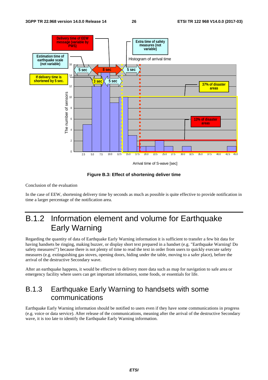

**Figure B.3: Effect of shortening deliver time** 

Conclusion of the evaluation

In the case of EEW, shortening delivery time by seconds as much as possible is quite effective to provide notification in time a larger percentage of the notification area.

## B.1.2 Information element and volume for Earthquake Early Warning

Regarding the quantity of data of Earthquake Early Warning information it is sufficient to transfer a few bit data for having handsets be ringing, making buzzer, or display short text prepared in a handset (e.g. "Earthquake Warning! Do safety measures!") because there is not plenty of time to read the text in order from users to quickly execute safety measures (e.g. extinguishing gas stoves, opening doors, hiding under the table, moving to a safer place), before the arrival of the destructive Secondary wave.

After an earthquake happens, it would be effective to delivery more data such as map for navigation to safe area or emergency facility where users can get important information, some foods, or essentials for life.

### B.1.3 Earthquake Early Warning to handsets with some communications

Earthquake Early Warning information should be notified to users even if they have some communications in progress (e.g. voice or data service). After release of the communications, meaning after the arrival of the destructive Secondary wave, it is too late to identify the Earthquake Early Warning information.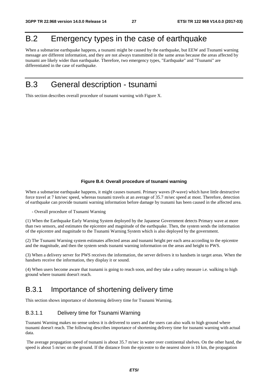## B.2 Emergency types in the case of earthquake

When a submarine earthquake happens, a tsunami might be caused by the earthquake, but EEW and Tsunami warning message are different information, and they are not always transmitted in the same areas because the areas affected by tsunami are likely wider than earthquake. Therefore, two emergency types, "Earthquake" and "Tsunami" are differentiated in the case of earthquake.

## B.3 General description - tsunami

This section describes overall procedure of tsunami warning with Figure X.

#### **Figure B.4: Overall procedure of tsunami warning**

When a submarine earthquake happens, it might causes tsunami. Primary waves (P-wave) which have little destructive force travel at 7 km/sec speed, whereas tsunami travels at an average of 35.7 m/sec speed at most. Therefore, detection of earthquake can provide tsunami warning information before damage by tsunami has been caused in the affected area.

- Overall procedure of Tsunami Warning

(1) When the Earthquake Early Warning System deployed by the Japanese Government detects Primary wave at more than two sensors, and estimates the epicentre and magnitude of the earthquake. Then, the system sends the information of the epicentre and magnitude to the Tsunami Warning System which is also deployed by the government.

(2) The Tsunami Warning system estimates affected areas and tsunami height per each area according to the epicentre and the magnitude, and then the system sends tsunami warning information on the areas and height to PWS.

(3) When a delivery server for PWS receives the information, the server delivers it to handsets in target areas. When the handsets receive the information, they display it or sound.

(4) When users become aware that tsunami is going to reach soon, and they take a safety measure i.e. walking to high ground where tsunami doesn't reach.

### B.3.1 Importance of shortening delivery time

This section shows importance of shortening delivery time for Tsunami Warning.

#### B.3.1.1 Delivery time for Tsunami Warning

Tsunami Warning makes no sense unless it is delivered to users and the users can also walk to high ground where tsunami doesn't reach. The following describes importance of shortening delivery time for tsunami warning with actual data.

 The average propagation speed of tsunami is about 35.7 m/sec in water over continental shelves. On the other hand, the speed is about 5 m/sec on the ground. If the distance from the epicentre to the nearest shore is 10 km, the propagation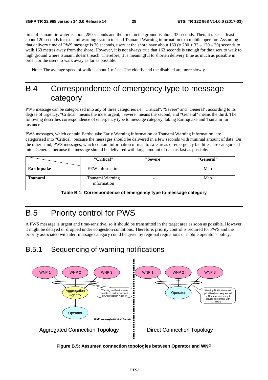time of tsunami in water is about 280 seconds and the time on the ground is about 33 seconds. Then, it takes at least about 120 seconds for tsunami warning system to send Tsunami Warning information to a mobile operator. Assuming that delivery time of PWS message is 30 seconds, users at the shore have about  $163 (= 280 + 33 - 120 - 30)$  seconds to walk 163 metres away from the shore. However, it is not always true that 163 seconds is enough for the users to walk to high ground where tsunami doesn't reach. Therefore, it is meaningful to shorten delivery time as much as possible in order for the users to walk away as far as possible.

Note: The average speed of walk is about 1 m/sec. The elderly and the disabled are more slowly.

## B.4 Correspondence of emergency type to message category

PWS message can be categorized into any of three categories i.e. "Critical", "Severe" and "General", according to its degree of urgency. "Critical" means the most urgent, "Severe" means the second, and "General" means the third. The following describes correspondence of emergency type to message category, taking Earthquake and Tsunami for instance.

PWS messages, which contain Earthquake Early Warning information or Tsunami Warning information, are categorised into "Critical" because the messages should be delivered in a few seconds with minimal amount of data. On the other hand, PWS messages, which contain information of map to safe areas or emergency facilities, are categorised into "General" because the message should be delivered with large amount of data as fast as possible.

|                | "Critical"                     | "Severe"                 | "General" |
|----------------|--------------------------------|--------------------------|-----------|
| Earthquake     | EEW information                |                          | Map       |
| <b>Tsunami</b> | Tsunami Warning<br>information | $\overline{\phantom{0}}$ | Map       |

**Table B.1: Correspondence of emergency type to message category** 

## B.5 Priority control for PWS

A PWS message is urgent and time-sensitive, so it should be transmitted in the target area as soon as possible. However, it might be delayed or dropped under congestion conditions. Therefore, priority control is required for PWS and the priority associated with alert message category could be given by regional regulations or mobile operator's policy.

### B.5.1 Sequencing of warning notifications



**Figure B.5: Assumed connection topologies between Operator and WNP**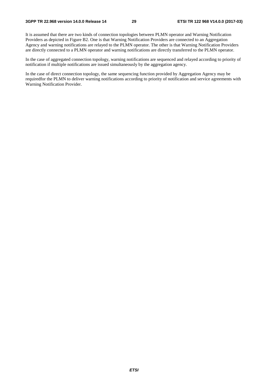It is assumed that there are two kinds of connection topologies between PLMN operator and Warning Notification Providers as depicted in Figure B2. One is that Warning Notification Providers are connected to an Aggregation Agency and warning notifications are relayed to the PLMN operator. The other is that Warning Notification Providers are directly connected to a PLMN operator and warning notifications are directly transferred to the PLMN operator.

In the case of aggregated connection topology, warning notifications are sequenced and relayed according to priority of notification if multiple notifications are issued simultaneously by the aggregation agency.

In the case of direct connection topology, the same sequencing function provided by Aggregation Agency may be requiredfor the PLMN to deliver warning notifications according to priority of notification and service agreements with Warning Notification Provider.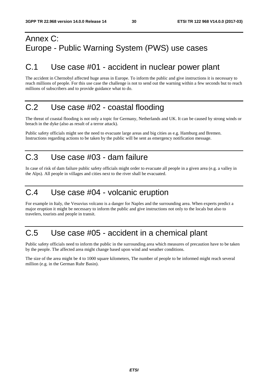## Annex C: Europe - Public Warning System (PWS) use cases

## C.1 Use case #01 - accident in nuclear power plant

The accident in Chernobyl affected huge areas in Europe. To inform the public and give instructions it is necessary to reach millions of people. For this use case the challenge is not to send out the warning within a few seconds but to reach millions of subscribers and to provide guidance what to do.

## C.2 Use case #02 - coastal flooding

The threat of coastal flooding is not only a topic for Germany, Netherlands and UK. It can be caused by strong winds or breach in the dyke (also as result of a terror attack).

Public safety officials might see the need to evacuate large areas and big cities as e.g. Hamburg and Bremen. Instructions regarding actions to be taken by the public will be sent as emergency notification message.

## C.3 Use case #03 - dam failure

In case of risk of dam failure public safety officials might order to evacuate all people in a given area (e.g. a valley in the Alps). All people in villages and cities next to the river shall be evacuated.

### C.4 Use case #04 - volcanic eruption

For example in Italy, the Vesuvius volcano is a danger for Naples and the surrounding area. When experts predict a major eruption it might be necessary to inform the public and give instructions not only to the locals but also to travelers, tourists and people in transit.

## C.5 Use case #05 - accident in a chemical plant

Public safety officials need to inform the public in the surrounding area which measures of precaution have to be taken by the people. The affected area might change based upon wind and weather conditions.

The size of the area might be 4 to 1000 square kilometers, The number of people to be informed might reach several million (e.g. in the German Ruhr Basin).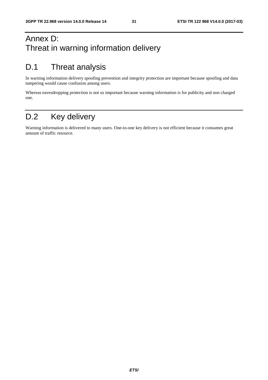## Annex D: Threat in warning information delivery

## D.1 Threat analysis

In warning information delivery spoofing prevention and integrity protection are important because spoofing and data tampering would cause confusion among users.

Whereas eavesdropping protection is not so important because warning information is for publicity and non charged one.

## D.2 Key delivery

Warning information is delivered to many users. One-to-one key delivery is not efficient because it consumes great amount of traffic resource.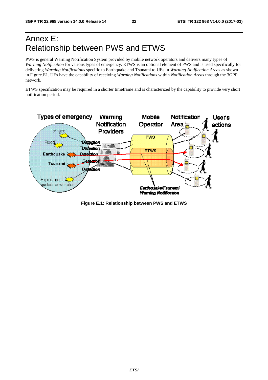## Annex E: Relationship between PWS and ETWS

PWS is general Warning Notification System provided by mobile network operators and delivers many types of *Warning Notification* for various types of emergency. ETWS is an optional element of PWS and is used specifically for delivering *Warning Notifications* specific to Earthquake and Tsunami to UEs in *Warning Notification Areas* as shown in Figure.E1. UEs have the capability of receiving *Warning Notifications* within *Notification Areas* through the 3GPP network.

ETWS specification may be required in a shorter timeframe and is characterized by the capability to provide very short notification period.



**Figure E.1: Relationship between PWS and ETWS**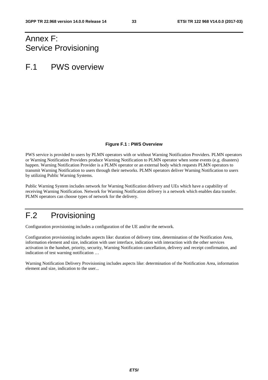## Annex F: Service Provisioning

## F.1 PWS overview

#### **Figure F.1 : PWS Overview**

PWS service is provided to users by PLMN operators with or without Warning Notification Providers. PLMN operators or Warning Notification Providers produce Warning Notification to PLMN operator when some events (e.g. disasters) happen. Warning Notification Provider is a PLMN operator or an external body which requests PLMN operators to transmit Warning Notification to users through their networks. PLMN operators deliver Warning Notification to users by utilizing Public Warning Systems.

Public Warning System includes network for Warning Notification delivery and UEs which have a capability of receiving Warning Notification. Network for Warning Notification delivery is a network which enables data transfer. PLMN operators can choose types of network for the delivery.

## F.2 Provisioning

Configuration provisioning includes a configuration of the UE and/or the network.

Configuration provisioning includes aspects like: duration of delivery time, determination of the Notification Area, information element and size, indication with user interface, indication with interaction with the other services activation in the handset, priority, security, Warning Notification cancellation, delivery and receipt confirmation, and indication of test warning notification …

Warning Notification Delivery Provisioning includes aspects like: determination of the Notification Area, information element and size, indication to the user...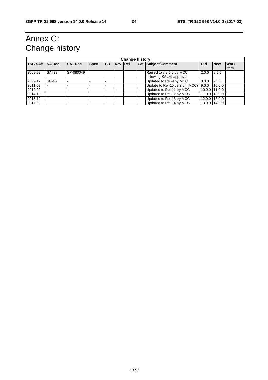## Annex G: Change history

| <b>Change history</b> |                |                |             |           |                |  |  |                                                      |               |               |                             |
|-----------------------|----------------|----------------|-------------|-----------|----------------|--|--|------------------------------------------------------|---------------|---------------|-----------------------------|
| <b>TSG SA#</b>        | <b>SA Doc.</b> | <b>SA1 Doc</b> | <b>Spec</b> | <b>CR</b> | <b>Rev Rel</b> |  |  | <b>Cat Subject/Comment</b>                           | <b>Old</b>    | <b>New</b>    | <b>Work</b><br><b>I</b> tem |
| 2008-03               | SA#39          | SP-080049      |             |           |                |  |  | Raised to v.8.0.0 by MCC<br>following SA#39 approval | 2.0.0         | 8.0.0         |                             |
| 2009-12               | SP-46          |                |             |           |                |  |  | Updated to Rel-9 by MCC                              | 8.0.0         | 9.0.0         |                             |
| 2011-03               |                |                |             |           |                |  |  | Update to Rel-10 version (MCC)                       | 9.0.0         | 10.0.0        |                             |
| 2012-09               |                |                |             |           |                |  |  | Updated to Rel-11 by MCC                             | 10.0.0 11.0.0 |               |                             |
| 2014-10               |                |                |             |           |                |  |  | Updated to Rel-12 by MCC                             | 11.0.0 12.0.0 |               |                             |
| 2015-12               |                |                |             |           |                |  |  | Updated to Rel-13 by MCC                             |               | 12.0.0 13.0.0 |                             |
| 2017-03               |                |                |             |           |                |  |  | Updated to Rel-14 by MCC                             |               | 13.0.0 14.0.0 |                             |